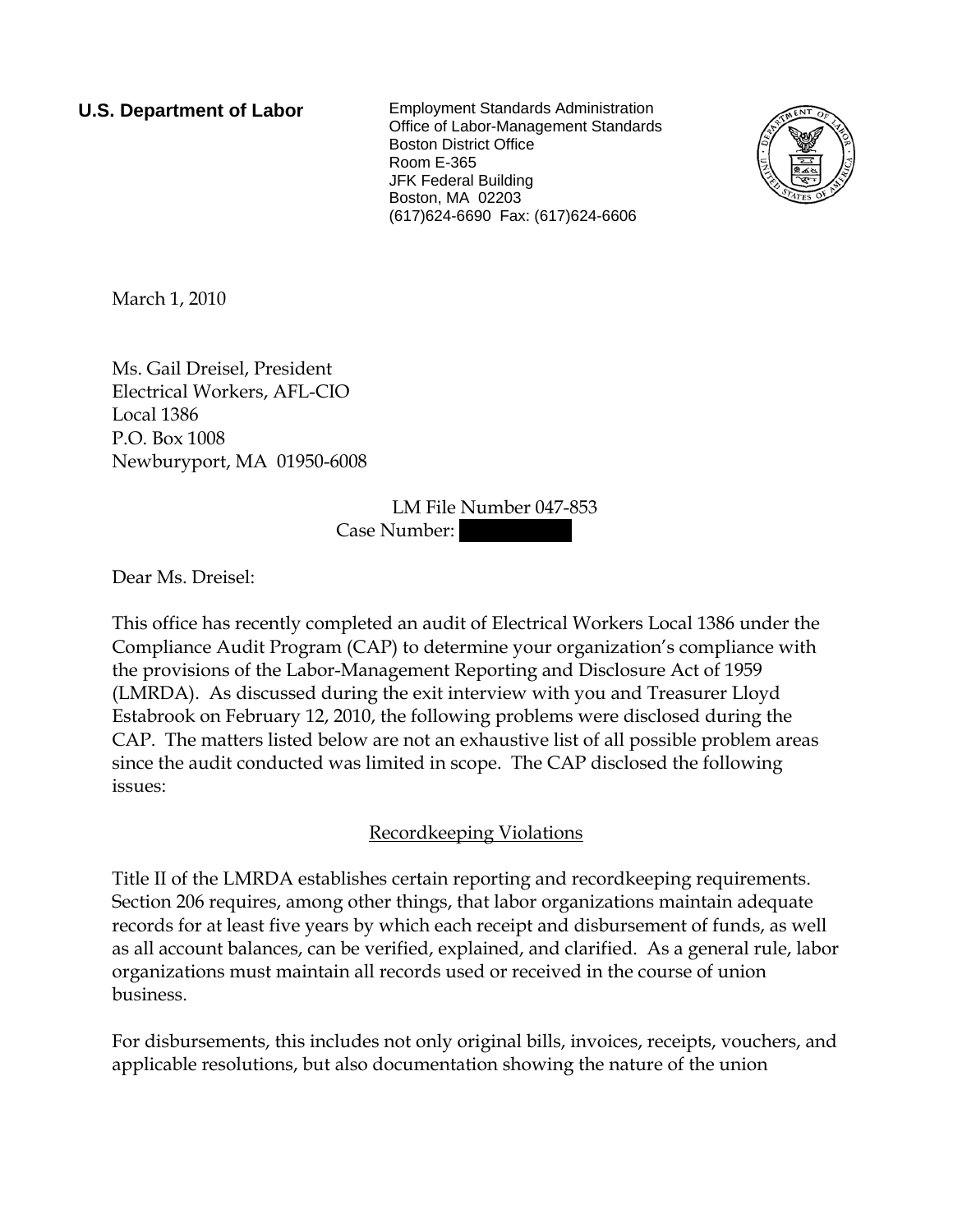**U.S. Department of Labor** Employment Standards Administration Office of Labor-Management Standards Boston District Office Room E-365 JFK Federal Building Boston, MA 02203 (617)624-6690 Fax: (617)624-6606



March 1, 2010

Ms. Gail Dreisel, President Electrical Workers, AFL-CIO Local 1386 P.O. Box 1008 Newburyport, MA 01950-6008

> LM File Number 047-853 Case Number:

Dear Ms. Dreisel:

This office has recently completed an audit of Electrical Workers Local 1386 under the Compliance Audit Program (CAP) to determine your organization's compliance with the provisions of the Labor-Management Reporting and Disclosure Act of 1959 (LMRDA). As discussed during the exit interview with you and Treasurer Lloyd Estabrook on February 12, 2010, the following problems were disclosed during the CAP. The matters listed below are not an exhaustive list of all possible problem areas since the audit conducted was limited in scope. The CAP disclosed the following issues:

## Recordkeeping Violations

Title II of the LMRDA establishes certain reporting and recordkeeping requirements. Section 206 requires, among other things, that labor organizations maintain adequate records for at least five years by which each receipt and disbursement of funds, as well as all account balances, can be verified, explained, and clarified. As a general rule, labor organizations must maintain all records used or received in the course of union business.

For disbursements, this includes not only original bills, invoices, receipts, vouchers, and applicable resolutions, but also documentation showing the nature of the union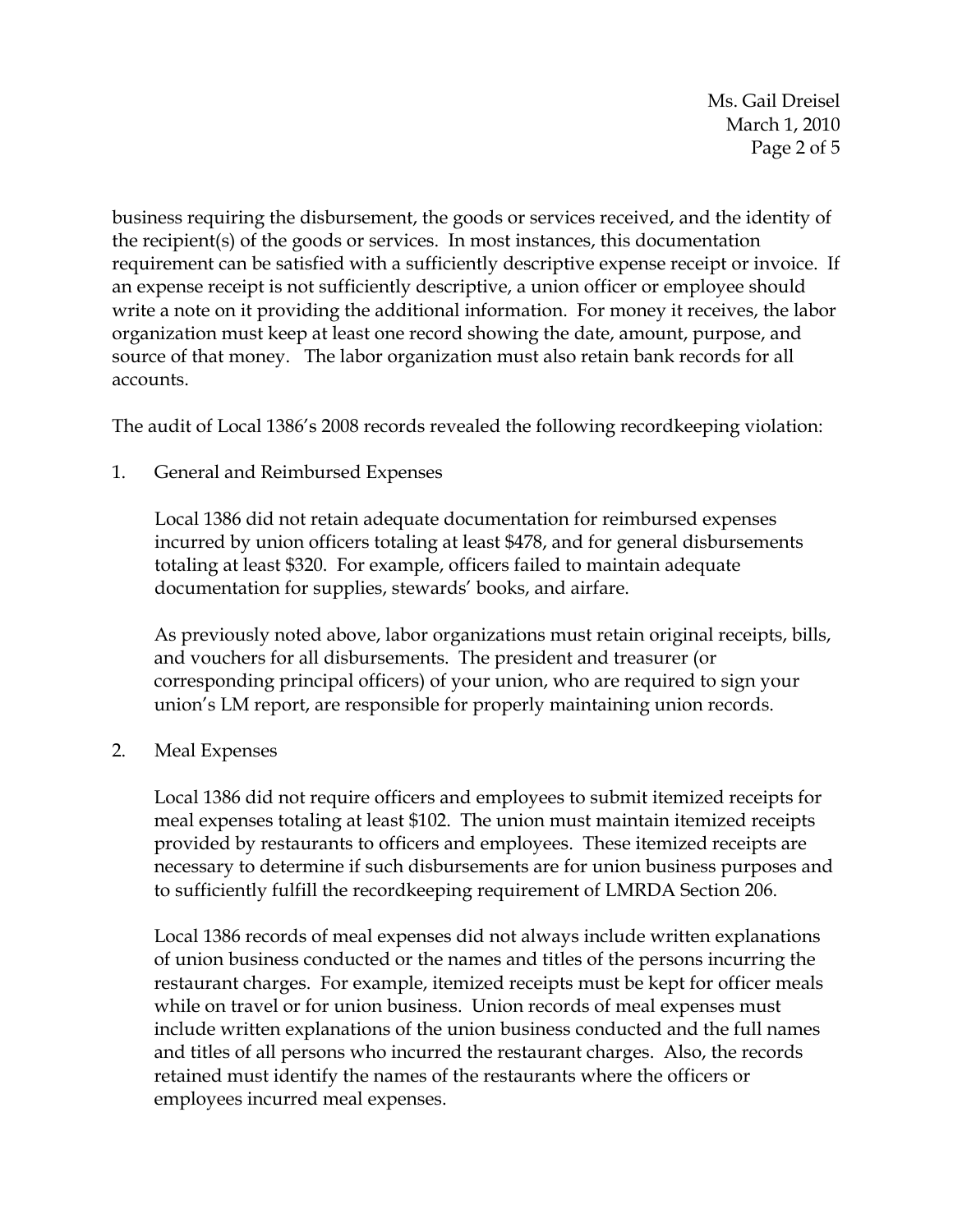Ms. Gail Dreisel March 1, 2010 Page 2 of 5

business requiring the disbursement, the goods or services received, and the identity of the recipient(s) of the goods or services. In most instances, this documentation requirement can be satisfied with a sufficiently descriptive expense receipt or invoice. If an expense receipt is not sufficiently descriptive, a union officer or employee should write a note on it providing the additional information. For money it receives, the labor organization must keep at least one record showing the date, amount, purpose, and source of that money. The labor organization must also retain bank records for all accounts.

The audit of Local 1386's 2008 records revealed the following recordkeeping violation:

1. General and Reimbursed Expenses

Local 1386 did not retain adequate documentation for reimbursed expenses incurred by union officers totaling at least \$478, and for general disbursements totaling at least \$320. For example, officers failed to maintain adequate documentation for supplies, stewards' books, and airfare.

As previously noted above, labor organizations must retain original receipts, bills, and vouchers for all disbursements. The president and treasurer (or corresponding principal officers) of your union, who are required to sign your union's LM report, are responsible for properly maintaining union records.

2. Meal Expenses

Local 1386 did not require officers and employees to submit itemized receipts for meal expenses totaling at least \$102. The union must maintain itemized receipts provided by restaurants to officers and employees. These itemized receipts are necessary to determine if such disbursements are for union business purposes and to sufficiently fulfill the recordkeeping requirement of LMRDA Section 206.

Local 1386 records of meal expenses did not always include written explanations of union business conducted or the names and titles of the persons incurring the restaurant charges. For example, itemized receipts must be kept for officer meals while on travel or for union business. Union records of meal expenses must include written explanations of the union business conducted and the full names and titles of all persons who incurred the restaurant charges. Also, the records retained must identify the names of the restaurants where the officers or employees incurred meal expenses.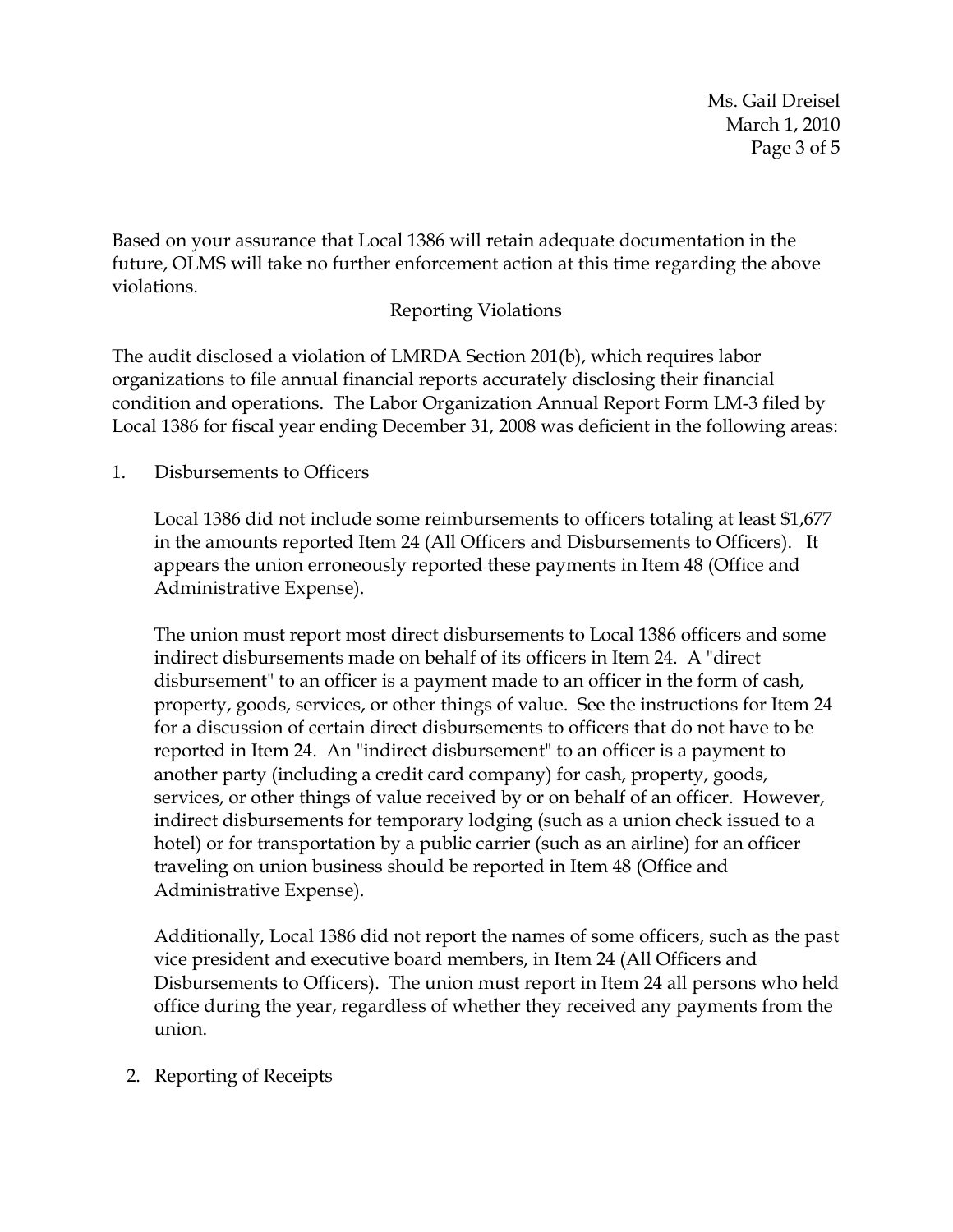Ms. Gail Dreisel March 1, 2010 Page 3 of 5

Based on your assurance that Local 1386 will retain adequate documentation in the future, OLMS will take no further enforcement action at this time regarding the above violations.

## Reporting Violations

The audit disclosed a violation of LMRDA Section 201(b), which requires labor organizations to file annual financial reports accurately disclosing their financial condition and operations. The Labor Organization Annual Report Form LM-3 filed by Local 1386 for fiscal year ending December 31, 2008 was deficient in the following areas:

1. Disbursements to Officers

Local 1386 did not include some reimbursements to officers totaling at least \$1,677 in the amounts reported Item 24 (All Officers and Disbursements to Officers). It appears the union erroneously reported these payments in Item 48 (Office and Administrative Expense).

The union must report most direct disbursements to Local 1386 officers and some indirect disbursements made on behalf of its officers in Item 24. A "direct disbursement" to an officer is a payment made to an officer in the form of cash, property, goods, services, or other things of value. See the instructions for Item 24 for a discussion of certain direct disbursements to officers that do not have to be reported in Item 24. An "indirect disbursement" to an officer is a payment to another party (including a credit card company) for cash, property, goods, services, or other things of value received by or on behalf of an officer. However, indirect disbursements for temporary lodging (such as a union check issued to a hotel) or for transportation by a public carrier (such as an airline) for an officer traveling on union business should be reported in Item 48 (Office and Administrative Expense).

Additionally, Local 1386 did not report the names of some officers, such as the past vice president and executive board members, in Item 24 (All Officers and Disbursements to Officers). The union must report in Item 24 all persons who held office during the year, regardless of whether they received any payments from the union.

## 2. Reporting of Receipts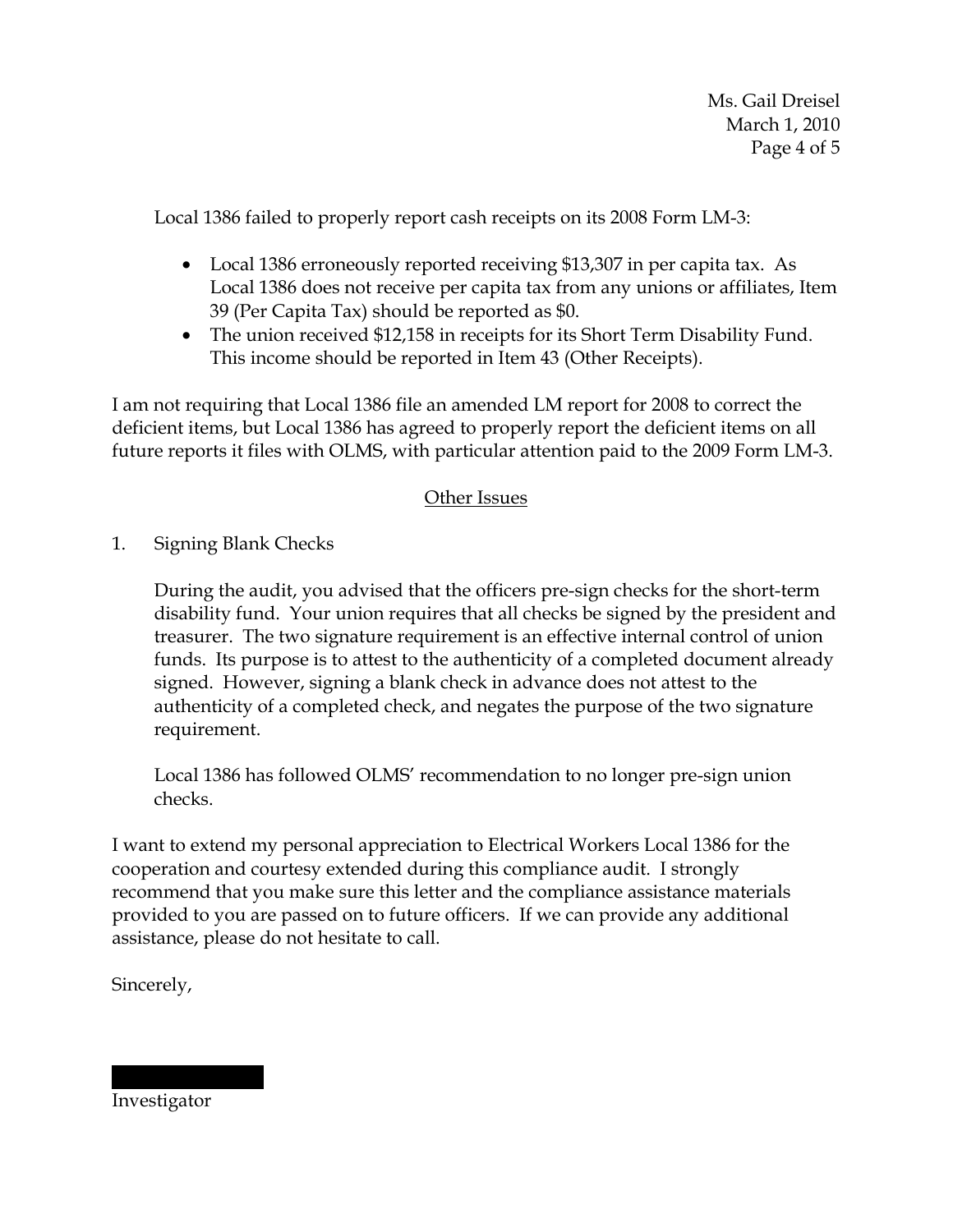Local 1386 failed to properly report cash receipts on its 2008 Form LM-3:

- Local 1386 erroneously reported receiving \$13,307 in per capita tax. As Local 1386 does not receive per capita tax from any unions or affiliates, Item 39 (Per Capita Tax) should be reported as \$0.
- The union received \$12,158 in receipts for its Short Term Disability Fund. This income should be reported in Item 43 (Other Receipts).

I am not requiring that Local 1386 file an amended LM report for 2008 to correct the deficient items, but Local 1386 has agreed to properly report the deficient items on all future reports it files with OLMS, with particular attention paid to the 2009 Form LM-3.

## Other Issues

1. Signing Blank Checks

During the audit, you advised that the officers pre-sign checks for the short-term disability fund. Your union requires that all checks be signed by the president and treasurer. The two signature requirement is an effective internal control of union funds. Its purpose is to attest to the authenticity of a completed document already signed. However, signing a blank check in advance does not attest to the authenticity of a completed check, and negates the purpose of the two signature requirement.

Local 1386 has followed OLMS' recommendation to no longer pre-sign union checks.

I want to extend my personal appreciation to Electrical Workers Local 1386 for the cooperation and courtesy extended during this compliance audit. I strongly recommend that you make sure this letter and the compliance assistance materials provided to you are passed on to future officers. If we can provide any additional assistance, please do not hesitate to call.

Sincerely,

Investigator

|||||| |||||||